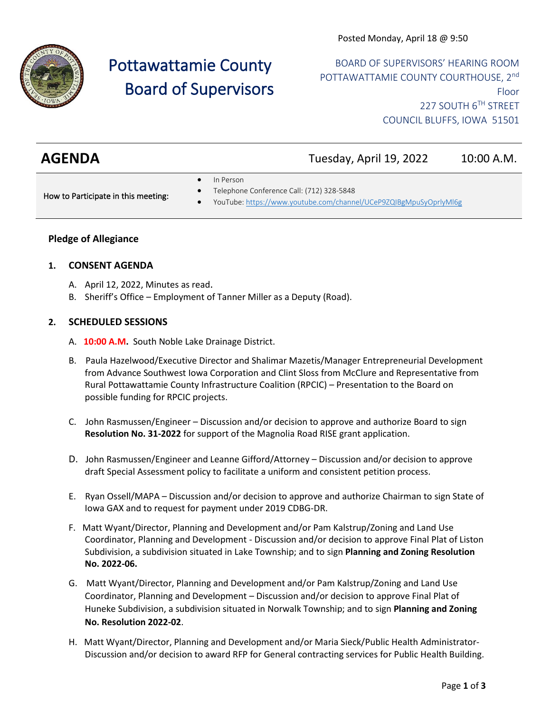

# Pottawattamie County Board of Supervisors

BOARD OF SUPERVISORS' HEARING ROOM POTTAWATTAMIE COUNTY COURTHOUSE, 2nd Floor 227 SOUTH 6TH STREET COUNCIL BLUFFS, IOWA 51501

# **AGENDA** Tuesday, April 19, 2022 10:00 A.M.

• Telephone Conference Call: (712) 328-5848

- In Person
- How to Participate in this meeting:
- YouTube[: https://www.youtube.com/channel/UCeP9ZQIBgMpuSyOprlyMl6g](https://www.youtube.com/channel/UCeP9ZQIBgMpuSyOprlyMl6g)

# **Pledge of Allegiance**

### **1. CONSENT AGENDA**

- A. April 12, 2022, Minutes as read.
- B. Sheriff's Office Employment of Tanner Miller as a Deputy (Road).

### **2. SCHEDULED SESSIONS**

- A. **10:00 A.M.** South Noble Lake Drainage District.
- B. Paula Hazelwood/Executive Director and Shalimar Mazetis/Manager Entrepreneurial Development from Advance Southwest Iowa Corporation and Clint Sloss from McClure and Representative from Rural Pottawattamie County Infrastructure Coalition (RPCIC) – Presentation to the Board on possible funding for RPCIC projects.
- C. John Rasmussen/Engineer Discussion and/or decision to approve and authorize Board to sign **Resolution No. 31-2022** for support of the Magnolia Road RISE grant application.
- D. John Rasmussen/Engineer and Leanne Gifford/Attorney Discussion and/or decision to approve draft Special Assessment policy to facilitate a uniform and consistent petition process.
- E. Ryan Ossell/MAPA Discussion and/or decision to approve and authorize Chairman to sign State of Iowa GAX and to request for payment under 2019 CDBG-DR.
- F. Matt Wyant/Director, Planning and Development and/or Pam Kalstrup/Zoning and Land Use Coordinator, Planning and Development - Discussion and/or decision to approve Final Plat of Liston Subdivision, a subdivision situated in Lake Township; and to sign **Planning and Zoning Resolution No. 2022-06.**
- G. Matt Wyant/Director, Planning and Development and/or Pam Kalstrup/Zoning and Land Use Coordinator, Planning and Development – Discussion and/or decision to approve Final Plat of Huneke Subdivision, a subdivision situated in Norwalk Township; and to sign **Planning and Zoning No. Resolution 2022-02**.
- H. Matt Wyant/Director, Planning and Development and/or Maria Sieck/Public Health Administrator-Discussion and/or decision to award RFP for General contracting services for Public Health Building.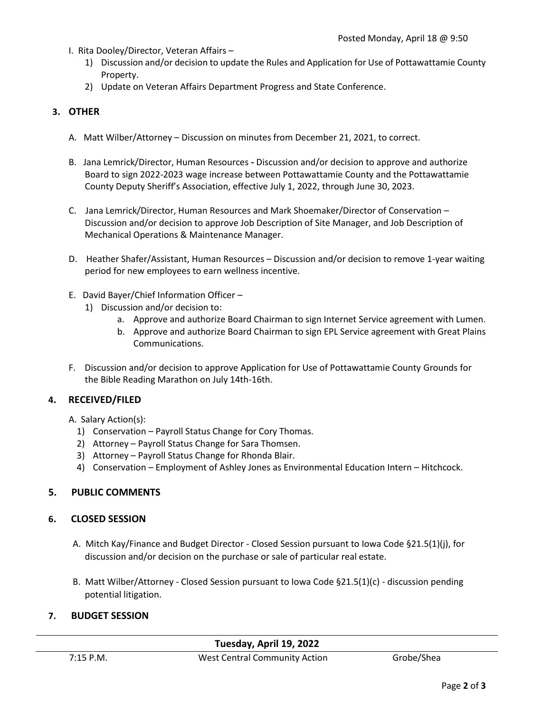- I. Rita Dooley/Director, Veteran Affairs
	- 1) Discussion and/or decision to update the Rules and Application for Use of Pottawattamie County Property.
	- 2) Update on Veteran Affairs Department Progress and State Conference.

# **3. OTHER**

- A. Matt Wilber/Attorney Discussion on minutes from December 21, 2021, to correct.
- B. Jana Lemrick/Director, Human Resources **-** Discussion and/or decision to approve and authorize Board to sign 2022-2023 wage increase between Pottawattamie County and the Pottawattamie County Deputy Sheriff's Association, effective July 1, 2022, through June 30, 2023.
- C. Jana Lemrick/Director, Human Resources and Mark Shoemaker/Director of Conservation Discussion and/or decision to approve Job Description of Site Manager, and Job Description of Mechanical Operations & Maintenance Manager.
- D. Heather Shafer/Assistant, Human Resources Discussion and/or decision to remove 1-year waiting period for new employees to earn wellness incentive.
- E. David Bayer/Chief Information Officer
	- 1) Discussion and/or decision to:
		- a. Approve and authorize Board Chairman to sign Internet Service agreement with Lumen.
		- b. Approve and authorize Board Chairman to sign EPL Service agreement with Great Plains Communications.
- F. Discussion and/or decision to approve Application for Use of Pottawattamie County Grounds for the Bible Reading Marathon on July 14th-16th.

# **4. RECEIVED/FILED**

A. Salary Action(s):

- 1) Conservation Payroll Status Change for Cory Thomas.
- 2) Attorney Payroll Status Change for Sara Thomsen.
- 3) Attorney Payroll Status Change for Rhonda Blair.
- 4) Conservation Employment of Ashley Jones as Environmental Education Intern Hitchcock.

# **5. PUBLIC COMMENTS**

# **6. CLOSED SESSION**

- A. Mitch Kay/Finance and Budget Director Closed Session pursuant to Iowa Code §21.5(1)(j), for discussion and/or decision on the purchase or sale of particular real estate.
- B. Matt Wilber/Attorney Closed Session pursuant to Iowa Code §21.5(1)(c) discussion pending potential litigation.

# **7. BUDGET SESSION**